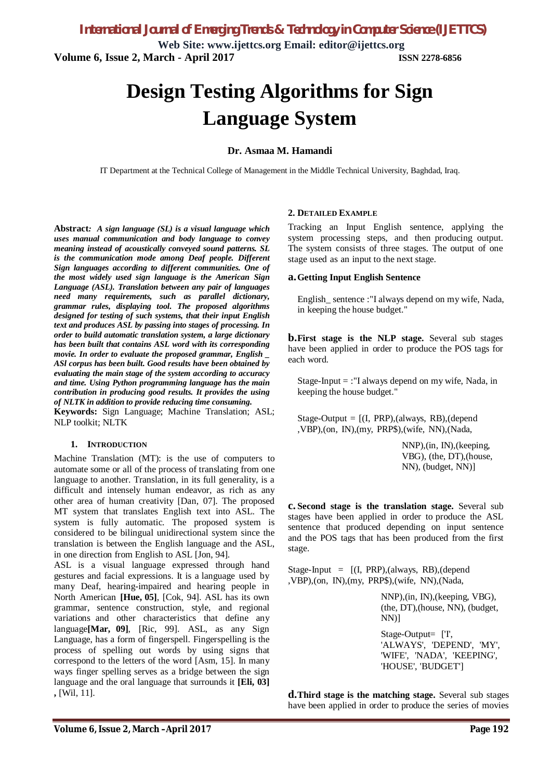**Web Site: www.ijettcs.org Email: editor@ijettcs.org Volume 6, Issue 2, March - April 2017 ISSN 2278-6856**

# **Design Testing Algorithms for Sign Language System**

#### **Dr. Asmaa M. Hamandi**

IT Department at the Technical College of Management in the Middle Technical University, Baghdad, Iraq.

**Abstract***: A sign language (SL) is a visual language which uses manual communication and body language to convey meaning instead of acoustically conveyed sound patterns. SL is the communication mode among Deaf people. Different Sign languages according to different communities. One of the most widely used sign language is the American Sign Language (ASL). Translation between any pair of languages need many requirements, such as parallel dictionary, grammar rules, displaying tool. The proposed algorithms designed for testing of such systems, that their input English text and produces ASL by passing into stages of processing. In order to build automatic translation system, a large dictionary has been built that contains ASL word with its corresponding movie. In order to evaluate the proposed grammar, English \_ ASl corpus has been built. Good results have been obtained by evaluating the main stage of the system according to accuracy and time. Using Python programming language has the main contribution in producing good results. It provides the using of NLTK in addition to provide reducing time consuming.* **Keywords:** Sign Language; Machine Translation; ASL; NLP toolkit; NLTK

#### **1. INTRODUCTION**

Machine Translation (MT): is the use of computers to automate some or all of the process of translating from one language to another. Translation, in its full generality, is a difficult and intensely human endeavor, as rich as any other area of human creativity [Dan, 07]. The proposed MT system that translates English text into ASL. The system is fully automatic. The proposed system is considered to be bilingual unidirectional system since the translation is between the English language and the ASL, in one direction from English to ASL [Jon, 94].

ASL is a visual language expressed through hand gestures and facial expressions. It is a language used by many Deaf, hearing-impaired and hearing people in North American **[Hue, 05]**, [Cok, 94]. ASL has its own grammar, sentence construction, style, and regional variations and other characteristics that define any language**[Mar, 09]**, [Ric, 99]. ASL, as any Sign Language, has a form of fingerspell. Fingerspelling is the process of spelling out words by using signs that correspond to the letters of the word [Asm, 15]. In many ways finger spelling serves as a bridge between the sign language and the oral language that surrounds it **[Eli, 03] ,** [Wil, 11].

#### **2. DETAILED EXAMPLE**

Tracking an Input English sentence, applying the system processing steps, and then producing output. The system consists of three stages. The output of one stage used as an input to the next stage.

#### **a.Getting Input English Sentence**

English\_ sentence :"I always depend on my wife, Nada, in keeping the house budget."

**b.First stage is the NLP stage.** Several sub stages have been applied in order to produce the POS tags for each word.

Stage-Input  $=$  :"I always depend on my wife, Nada, in keeping the house budget."

Stage-Output  $= [(I, PRP), (always, RB), (depend$ ,VBP),(on, IN),(my, PRP\$),(wife, NN),(Nada,

> NNP),(in, IN),(keeping, VBG), (the, DT),(house, NN), (budget, NN)]

**c. Second stage is the translation stage.** Several sub stages have been applied in order to produce the ASL sentence that produced depending on input sentence and the POS tags that has been produced from the first stage.

Stage-Input =  $[(I, PRP), (always, RB), (depend$ ,VBP),(on, IN),(my, PRP\$),(wife, NN),(Nada,

> NNP),(in, IN),(keeping, VBG), (the, DT),(house, NN), (budget, NN)]

Stage-Output= ['I', 'ALWAYS', 'DEPEND', 'MY', 'WIFE', 'NADA', 'KEEPING', 'HOUSE', 'BUDGET']

**d.Third stage is the matching stage.** Several sub stages have been applied in order to produce the series of movies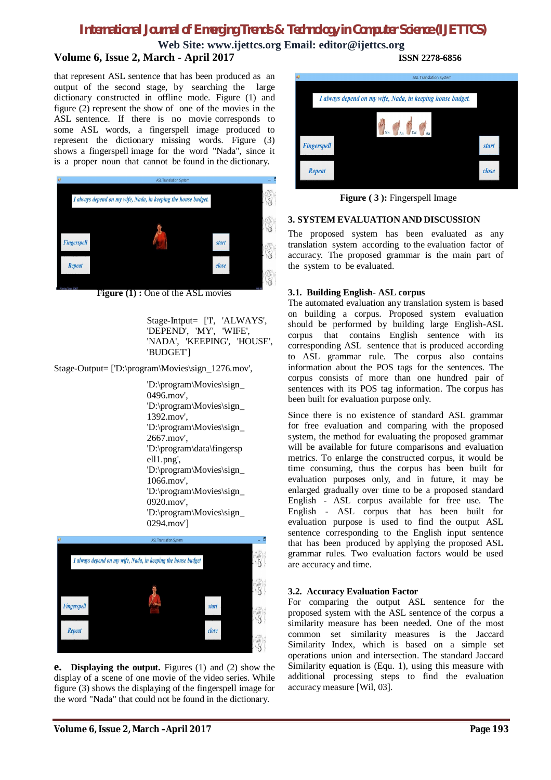**Web Site: www.ijettcs.org Email: editor@ijettcs.org Volume 6, Issue 2, March - April 2017 ISSN 2278-6856**

that represent ASL sentence that has been produced as an output of the second stage, by searching the large dictionary constructed in offline mode. Figure (1) and figure (2) represent the show of one of the movies in the ASL sentence. If there is no movie corresponds to some ASL words, a fingerspell image produced to represent the dictionary missing words. Figure (3) shows a fingerspell image for the word "Nada", since it is a proper noun that cannot be found in the dictionary.



**Figure (1) :** One of the ASL movies

Stage-Intput= ['I', 'ALWAYS', 'DEPEND', 'MY', 'WIFE', 'NADA', 'KEEPING', 'HOUSE', 'BUDGET']

Stage-Output= ['D:\program\Movies\sign\_1276.mov',

'D:\program\Movies\sign\_ 0496.mov', 'D:\program\Movies\sign\_ 1392.mov', 'D:\program\Movies\sign\_ 2667.mov', 'D:\program\data\fingersp ell1.png', 'D:\program\Movies\sign\_ 1066.mov', 'D:\program\Movies\sign\_ 0920.mov', 'D:\program\Movies\sign\_ 0294.mov']



**e. Displaying the output.** Figures (1) and (2) show the display of a scene of one movie of the video series. While figure (3) shows the displaying of the fingerspell image for the word "Nada" that could not be found in the dictionary.



**Figure (3):** Fingerspell Image

#### **3. SYSTEM EVALUATION AND DISCUSSION**

The proposed system has been evaluated as any translation system according to the evaluation factor of accuracy. The proposed grammar is the main part of the system to be evaluated.

#### **3.1. Building English- ASL corpus**

The automated evaluation any translation system is based on building a corpus. Proposed system evaluation should be performed by building large English-ASL corpus that contains English sentence with its corresponding ASL sentence that is produced according to ASL grammar rule. The corpus also contains information about the POS tags for the sentences. The corpus consists of more than one hundred pair of sentences with its POS tag information. The corpus has been built for evaluation purpose only.

Since there is no existence of standard ASL grammar for free evaluation and comparing with the proposed system, the method for evaluating the proposed grammar will be available for future comparisons and evaluation metrics. To enlarge the constructed corpus, it would be time consuming, thus the corpus has been built for evaluation purposes only, and in future, it may be enlarged gradually over time to be a proposed standard English - ASL corpus available for free use. The English - ASL corpus that has been built for evaluation purpose is used to find the output ASL sentence corresponding to the English input sentence that has been produced by applying the proposed ASL grammar rules. Two evaluation factors would be used are accuracy and time.

#### **3.2. Accuracy Evaluation Factor**

For comparing the output ASL sentence for the proposed system with the ASL sentence of the corpus a similarity measure has been needed. One of the most common set similarity measures is the Jaccard Similarity Index, which is based on a simple set operations union and intersection. The standard Jaccard Similarity equation is (Equ. 1), using this measure with additional processing steps to find the evaluation accuracy measure [Wil, 03].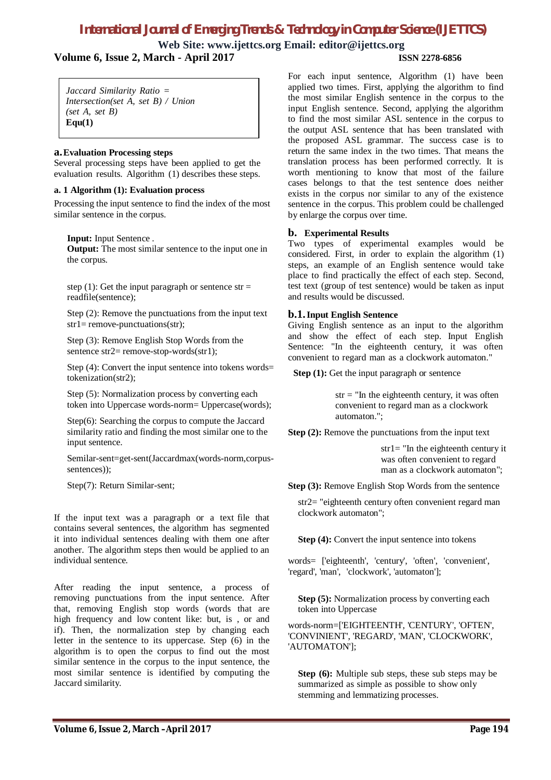**Web Site: www.ijettcs.org Email: editor@ijettcs.org Volume 6, Issue 2, March - April 2017 ISSN 2278-6856**

*Jaccard Similarity Ratio = Intersection(set A, set B) / Union (set A, set B)*  **Equ(1)**

#### **a.Evaluation Processing steps**

Several processing steps have been applied to get the evaluation results. Algorithm (1) describes these steps.

#### **a. 1 Algorithm (1): Evaluation process**

Processing the input sentence to find the index of the most similar sentence in the corpus.

**Input:** Input Sentence .

**Output:** The most similar sentence to the input one in the corpus.

step (1): Get the input paragraph or sentence  $str =$ readfile(sentence);

Step (2): Remove the punctuations from the input text  $str1 = remove-punctuations(str);$ 

Step (3): Remove English Stop Words from the sentence str2= remove-stop-words(str1);

Step (4): Convert the input sentence into tokens words= tokenization(str2);

Step (5): Normalization process by converting each token into Uppercase words-norm= Uppercase(words);

Step(6): Searching the corpus to compute the Jaccard similarity ratio and finding the most similar one to the input sentence.

Semilar-sent=get-sent(Jaccardmax(words-norm,corpussentences));

Step(7): Return Similar-sent;

If the input text was a paragraph or a text file that contains several sentences, the algorithm has segmented it into individual sentences dealing with them one after another. The algorithm steps then would be applied to an individual sentence.

After reading the input sentence, a process of removing punctuations from the input sentence. After that, removing English stop words (words that are high frequency and low content like: but, is , or and if). Then, the normalization step by changing each letter in the sentence to its uppercase. Step (6) in the algorithm is to open the corpus to find out the most similar sentence in the corpus to the input sentence, the most similar sentence is identified by computing the Jaccard similarity.

For each input sentence, Algorithm (1) have been applied two times. First, applying the algorithm to find the most similar English sentence in the corpus to the input English sentence. Second, applying the algorithm to find the most similar ASL sentence in the corpus to the output ASL sentence that has been translated with the proposed ASL grammar. The success case is to return the same index in the two times. That means the translation process has been performed correctly. It is worth mentioning to know that most of the failure cases belongs to that the test sentence does neither exists in the corpus nor similar to any of the existence sentence in the corpus. This problem could be challenged by enlarge the corpus over time.

### **b. Experimental Results**

Two types of experimental examples would be considered. First, in order to explain the algorithm (1) steps, an example of an English sentence would take place to find practically the effect of each step. Second, test text (group of test sentence) would be taken as input and results would be discussed.

#### **b.1.Input English Sentence**

Giving English sentence as an input to the algorithm and show the effect of each step. Input English Sentence: "In the eighteenth century, it was often convenient to regard man as a clockwork automaton."

**Step (1):** Get the input paragraph or sentence

 $str = "In the eighteenth century, it was often$ convenient to regard man as a clockwork automaton.";

**Step (2):** Remove the punctuations from the input text

str1= "In the eighteenth century it was often convenient to regard man as a clockwork automaton";

**Step (3):** Remove English Stop Words from the sentence

str2= "eighteenth century often convenient regard man clockwork automaton";

**Step (4):** Convert the input sentence into tokens

words= ['eighteenth', 'century', 'often', 'convenient', 'regard', 'man', 'clockwork', 'automaton'];

**Step (5):** Normalization process by converting each token into Uppercase

words-norm=['EIGHTEENTH', 'CENTURY', 'OFTEN', 'CONVINIENT', 'REGARD', 'MAN', 'CLOCKWORK', 'AUTOMATON'];

**Step (6):** Multiple sub steps, these sub steps may be summarized as simple as possible to show only stemming and lemmatizing processes.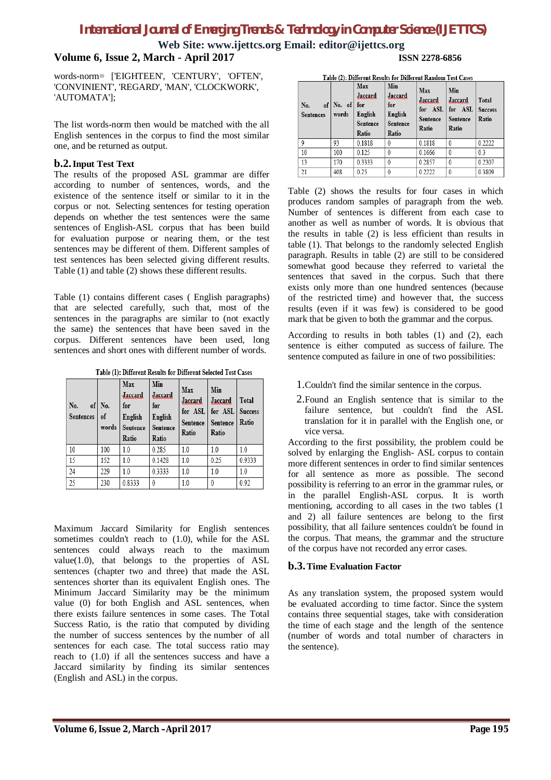**Web Site: www.ijettcs.org Email: editor@ijettcs.org Volume 6, Issue 2, March - April 2017 ISSN 2278-6856**

words-norm= ['EIGHTEEN', 'CENTURY', 'OFTEN', 'CONVINIENT', 'REGARD', 'MAN', 'CLOCKWORK', 'AUTOMATA'];

The list words-norm then would be matched with the all English sentences in the corpus to find the most similar one, and be returned as output.

#### **b.2.Input Test Text**

The results of the proposed ASL grammar are differ according to number of sentences, words, and the existence of the sentence itself or similar to it in the corpus or not. Selecting sentences for testing operation depends on whether the test sentences were the same sentences of English-ASL corpus that has been build for evaluation purpose or nearing them, or the test sentences may be different of them. Different samples of test sentences has been selected giving different results. Table (1) and table (2) shows these different results.

Table (1) contains different cases ( English paragraphs) that are selected carefully, such that, most of the sentences in the paragraphs are similar to (not exactly the same) the sentences that have been saved in the corpus. Different sentences have been used, long sentences and short ones with different number of words.

Table (1): Different Results for Different Selected Test Cases

| No.<br>of  <br><b>Sentences</b> | No.<br>of<br>words | Max<br>Jaccard<br>for<br>English<br>Sentence<br>Ratio | Min<br>Jaccard<br>for<br>English<br>Sentence<br>Ratio | Max<br>Jaccard<br>for ASL<br>Sentence<br>Ratio | Min<br>Jaccard<br>for ASL<br>Sentence<br>Ratio | Total<br><b>Success</b><br>Ratio |
|---------------------------------|--------------------|-------------------------------------------------------|-------------------------------------------------------|------------------------------------------------|------------------------------------------------|----------------------------------|
| 10                              | 100                | 1.0                                                   | 0.285                                                 | 1.0                                            | 1.0                                            | 1.0                              |
| 15                              | 152                | 1.0                                                   | 0.1428                                                | 1.0                                            | 0.25                                           | 0.9333                           |
| 24                              | 229                | 1.0                                                   | 0.3333                                                | 1.0                                            | 1.0                                            | 1.0                              |
| 25                              | 230                | 0.8333                                                | $\theta$                                              | 1.0                                            | $\theta$                                       | 0.92                             |

Maximum Jaccard Similarity for English sentences sometimes couldn't reach to (1.0), while for the ASL sentences could always reach to the maximum value $(1.0)$ , that belongs to the properties of ASL sentences (chapter two and three) that made the ASL sentences shorter than its equivalent English ones. The Minimum Jaccard Similarity may be the minimum value (0) for both English and ASL sentences, when there exists failure sentences in some cases. The Total Success Ratio, is the ratio that computed by dividing the number of success sentences by the number of all sentences for each case. The total success ratio may reach to (1.0) if all the sentences success and have a Jaccard similarity by finding its similar sentences (English and ASL) in the corpus.

Toble (2): Different Peculty for Different Pandom Test Cases

| No.<br><b>Sentences</b> | of No. of for<br>words | Max<br>Jaccard<br>English<br>Sentence<br>Ratio | Min<br>Jaccard<br>for<br>English<br>Sentence<br>Ratio | Max<br><b>Jaccard</b><br>Sentence<br>Ratio | Min<br>Jaccard<br>for ASL for ASL<br>Sentence<br>Ratio | Total<br><b>Success</b><br>Ratio |
|-------------------------|------------------------|------------------------------------------------|-------------------------------------------------------|--------------------------------------------|--------------------------------------------------------|----------------------------------|
| 9                       | 93                     | 0.1818                                         |                                                       | 0.1818                                     |                                                        | 0.2222                           |
| 10                      | 100                    | 0.125                                          |                                                       | 0.1666                                     | $\theta$                                               | 0.3                              |
| 13                      | 170                    | 0.3333                                         | 0                                                     | 0.2857                                     | $\mathbf{0}$                                           | 0.2307                           |
| 21                      | 408                    | 0.25                                           |                                                       | 0.2222                                     |                                                        | 0.3809                           |

Table (2) shows the results for four cases in which produces random samples of paragraph from the web. Number of sentences is different from each case to another as well as number of words. It is obvious that the results in table (2) is less efficient than results in table (1). That belongs to the randomly selected English paragraph. Results in table (2) are still to be considered somewhat good because they referred to varietal the sentences that saved in the corpus. Such that there exists only more than one hundred sentences (because of the restricted time) and however that, the success results (even if it was few) is considered to be good mark that be given to both the grammar and the corpus.

According to results in both tables (1) and (2), each sentence is either computed as success of failure. The sentence computed as failure in one of two possibilities:

- 1.Couldn't find the similar sentence in the corpus.
- 2.Found an English sentence that is similar to the failure sentence, but couldn't find the ASL translation for it in parallel with the English one, or vice versa.

According to the first possibility, the problem could be solved by enlarging the English- ASL corpus to contain more different sentences in order to find similar sentences for all sentence as more as possible. The second possibility is referring to an error in the grammar rules, or in the parallel English-ASL corpus. It is worth mentioning, according to all cases in the two tables (1 and 2) all failure sentences are belong to the first possibility, that all failure sentences couldn't be found in the corpus. That means, the grammar and the structure of the corpus have not recorded any error cases.

### **b.3.Time Evaluation Factor**

As any translation system, the proposed system would be evaluated according to time factor. Since the system contains three sequential stages, take with consideration the time of each stage and the length of the sentence (number of words and total number of characters in the sentence).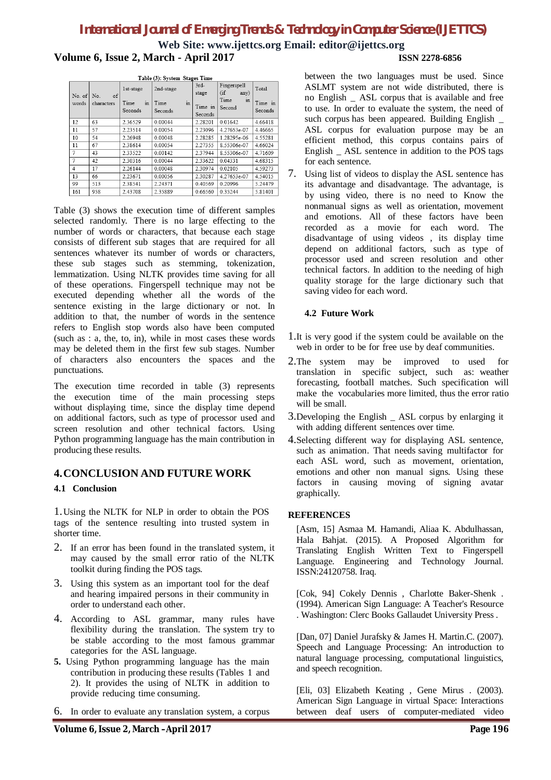**Web Site: www.ijettcs.org Email: editor@ijettcs.org Volume 6, Issue 2, March - April 2017 ISSN 2278-6856**

| Table (3): System Stages Time |            |            |                    |         |                |         |  |
|-------------------------------|------------|------------|--------------------|---------|----------------|---------|--|
|                               |            | 1st-stage  | 2nd-stage          | $3rd-$  | Fingerspell    | Total   |  |
| No. of $\vert$ No.            | of         |            |                    | stage   | $(i$ f<br>any) |         |  |
| words                         | characters | Time<br>in | <b>Time</b><br>111 |         | Time<br>111    | Time in |  |
|                               |            | Seconds    | Seconds            | Time in | Second         | Seconds |  |
|                               |            |            |                    | Seconds |                |         |  |
| 12                            | 63         | 2.36529    | 0.00044            | 2.28201 | 0.01642        | 4.66418 |  |
| 11                            | 57         | 2.23514    | 0.00054            | 2.23096 | 4.27653e-07    | 4.46665 |  |
| 10                            | 54         | 2.26948    | 0.00048            | 2.28285 | 1.28295e-06    | 4.55281 |  |
| 11                            | 67         | 2.38614    | 0.00054            | 2.27355 | 8.55306e-07    | 4.66024 |  |
| $\overline{7}$                | 43         | 233522     | 0.00142            | 2.37944 | 8.55306e-07    | 4.71609 |  |
| $\overline{7}$                | 42         | 2.30316    | 0.00044            | 2.33622 | 0.04331        | 4.68315 |  |
| $\overline{4}$                | 17         | 2.26144    | 0 00048            | 2.30974 | 0 0 2 1 0 5    | 4.59273 |  |
| 13                            | 66         | 2.23671    | 0.00056            | 2.30287 | 4.27653e-07    | 4.54015 |  |
| 99                            | 513        | 238541     | 2.24371            | 040569  | 0 20996        | 5.24479 |  |
| 161                           | 958        | 2.43708    | 2.35889            | 0.66560 | 0.35244        | 5.81401 |  |

Table (3) shows the execution time of different samples selected randomly. There is no large effecting to the number of words or characters, that because each stage consists of different sub stages that are required for all sentences whatever its number of words or characters, these sub stages such as stemming, tokenization, lemmatization. Using NLTK provides time saving for all of these operations. Fingerspell technique may not be executed depending whether all the words of the sentence existing in the large dictionary or not. In addition to that, the number of words in the sentence refers to English stop words also have been computed (such as : a, the, to, in), while in most cases these words may be deleted them in the first few sub stages. Number of characters also encounters the spaces and the punctuations.

The execution time recorded in table (3) represents the execution time of the main processing steps without displaying time, since the display time depend on additional factors, such as type of processor used and screen resolution and other technical factors. Using Python programming language has the main contribution in producing these results.

## **4.CONCLUSION AND FUTURE WORK**

### **4.1 Conclusion**

1.Using the NLTK for NLP in order to obtain the POS tags of the sentence resulting into trusted system in shorter time.

- 2. If an error has been found in the translated system, it may caused by the small error ratio of the NLTK toolkit during finding the POS tags.
- 3. Using this system as an important tool for the deaf and hearing impaired persons in their community in order to understand each other.
- 4. According to ASL grammar, many rules have flexibility during the translation. The system try to be stable according to the most famous grammar categories for the ASL language.
- **5.** Using Python programming language has the main contribution in producing these results (Tables 1 and 2). It provides the using of NLTK in addition to provide reducing time consuming.
- 6. In order to evaluate any translation system, a corpus

between the two languages must be used. Since ASLMT system are not wide distributed, there is no English \_ ASL corpus that is available and free to use. In order to evaluate the system, the need of such corpus has been appeared. Building English ASL corpus for evaluation purpose may be an efficient method, this corpus contains pairs of English \_ ASL sentence in addition to the POS tags for each sentence.

7. Using list of videos to display the ASL sentence has its advantage and disadvantage. The advantage, is by using video, there is no need to Know the nonmanual signs as well as orientation, movement and emotions. All of these factors have been recorded as a movie for each word. The disadvantage of using videos , its display time depend on additional factors, such as type of processor used and screen resolution and other technical factors. In addition to the needing of high quality storage for the large dictionary such that saving video for each word.

### **4.2 Future Work**

- 1.It is very good if the system could be available on the web in order to be for free use by deaf communities.
- 2.The system may be improved to used for translation in specific subject, such as: weather forecasting, football matches. Such specification will make the vocabularies more limited, thus the error ratio will be small
- 3.Developing the English \_ ASL corpus by enlarging it with adding different sentences over time.
- 4.Selecting different way for displaying ASL sentence, such as animation. That needs saving multifactor for each ASL word, such as movement, orientation, emotions and other non manual signs. Using these factors in causing moving of signing avatar graphically.

### **REFERENCES**

[Asm, 15] Asmaa M. Hamandi, Aliaa K. Abdulhassan, Hala Bahjat. (2015). A Proposed Algorithm for Translating English Written Text to Fingerspell Language. Engineering and Technology Journal. ISSN:24120758. Iraq.

[Cok, 94] Cokely Dennis, Charlotte Baker-Shenk. (1994). American Sign Language: A Teacher's Resource . Washington: Clerc Books Gallaudet University Press .

[Dan, 07] Daniel Jurafsky & James H. Martin.C. (2007). Speech and Language Processing: An introduction to natural language processing, computational linguistics, and speech recognition.

[Eli, 03] Elizabeth Keating , Gene Mirus . (2003). American Sign Language in virtual Space: Interactions between deaf users of computer-mediated video